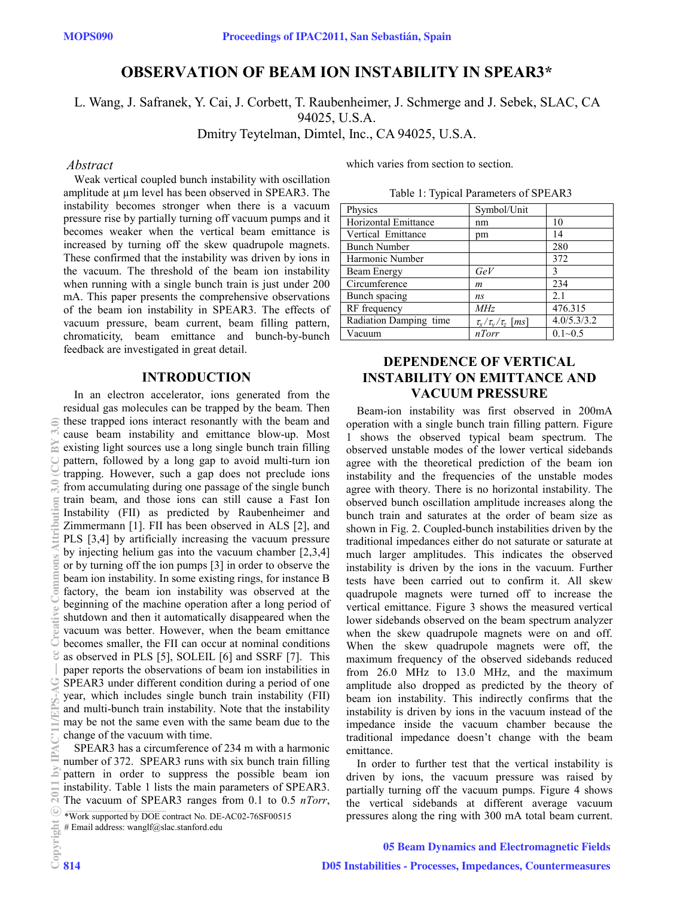# **OBSERVATION OF BEAM ION INSTABILITY IN SPEAR3\***

L. Wang, J. Safranek, Y. Cai, J. Corbett, T. Raubenheimer, J. Schmerge and J. Sebek, SLAC, CA

94025, U.S.A.

Dmitry Teytelman, Dimtel, Inc., CA 94025, U.S.A.

### *Abstract*

Weak vertical coupled bunch instability with oscillation amplitude at um level has been observed in SPEAR3. The instability becomes stronger when there is a vacuum pressure rise by partially turning off vacuum pumps and it becomes weaker when the vertical beam emittance is increased by turning off the skew quadrupole magnets. These confirmed that the instability was driven by ions in the vacuum. The threshold of the beam ion instability when running with a single bunch train is just under 200 mA. This paper presents the comprehensive observations of the beam ion instability in SPEAR3. The effects of vacuum pressure, beam current, beam filling pattern, chromaticity, beam emittance and bunch-by-bunch feedback are investigated in great detail.

# **INTRODUCTION**

In an electron accelerator, ions generated from the residual gas molecules can be trapped by the beam. Then these trapped ions interact resonantly with the beam and cause beam instability and emittance blow-up. Most existing light sources use a long single bunch train filling pattern, followed by a long gap to avoid multi-turn ion trapping. However, such a gap does not preclude ions from accumulating during one passage of the single bunch train beam, and those ions can still cause a Fast Ion Instability (FII) as predicted by Raubenheimer and Zimmermann [1]. FII has been observed in ALS [2], and PLS [3,4] by artificially increasing the vacuum pressure by injecting helium gas into the vacuum chamber [2,3,4] or by turning off the ion pumps [3] in order to observe the beam ion instability. In some existing rings, for instance B factory, the beam ion instability was observed at the beginning of the machine operation after a long period of shutdown and then it automatically disappeared when the vacuum was better. However, when the beam emittance becomes smaller, the FII can occur at nominal conditions as observed in PLS [5], SOLEIL [6] and SSRF [7]. This paper reports the observations of beam ion instabilities in SPEAR3 under different condition during a period of one year, which includes single bunch train instability (FII) and multi-bunch train instability. Note that the instability may be not the same even with the same beam due to the change of the vacuum with time. (0,^^)a^)0,^^ commons agreed Commons Agreed Commons Attribution 3.0 (C) and a model of a postage Common State C<br>
(0,^^)a^) commons Attribution 3.0 (CC By 3.0 (CC BY 3.0) and a model Common State Commons Attribution 3.0 (C

SPEAR3 has a circumference of 234 m with a harmonic number of 372. SPEAR3 runs with six bunch train filling pattern in order to suppress the possible beam ion instability. Table 1 lists the main parameters of SPEAR3. The vacuum of SPEAR3 ranges from 0.1 to 0.5 *nTorr*,

\*Work supported by DOE contract No. DE-AC02-76SF00515

# Email address: wanglf@slac.stanford.edu

which varies from section to section.

Table 1: Typical Parameters of SPEAR3

| Physics                | Symbol/Unit                 |             |
|------------------------|-----------------------------|-------------|
| Horizontal Emittance   | nm                          | 10          |
| Vertical Emittance     | pm                          | 14          |
| <b>Bunch Number</b>    |                             | 280         |
| Harmonic Number        |                             | 372         |
| Beam Energy            | GeV                         | 3           |
| Circumference          | m                           | 234         |
| Bunch spacing          | ns                          | 2.1         |
| RF frequency           | <i>MHz</i>                  | 476.315     |
| Radiation Damping time | $\tau_x/\tau_y/\tau_z$ [ms] | 4.0/5.3/3.2 |
| Vacuum                 | nTorr                       | $0.1 - 0.5$ |

# **DEPENDENCE OF VERTICAL INSTABILITY ON EMITTANCE AND VACUUM PRESSURE**

Beam-ion instability was first observed in 200mA operation with a single bunch train filling pattern. Figure 1 shows the observed typical beam spectrum. The observed unstable modes of the lower vertical sidebands agree with the theoretical prediction of the beam ion instability and the frequencies of the unstable modes agree with theory. There is no horizontal instability. The observed bunch oscillation amplitude increases along the bunch train and saturates at the order of beam size as shown in Fig. 2. Coupled-bunch instabilities driven by the traditional impedances either do not saturate or saturate at much larger amplitudes. This indicates the observed instability is driven by the ions in the vacuum. Further tests have been carried out to confirm it. All skew quadrupole magnets were turned off to increase the vertical emittance. Figure 3 shows the measured vertical lower sidebands observed on the beam spectrum analyzer when the skew quadrupole magnets were on and off. When the skew quadrupole magnets were off, the maximum frequency of the observed sidebands reduced from 26.0 MHz to 13.0 MHz, and the maximum amplitude also dropped as predicted by the theory of beam ion instability. This indirectly confirms that the instability is driven by ions in the vacuum instead of the impedance inside the vacuum chamber because the traditional impedance doesn't change with the beam emittance.

In order to further test that the vertical instability is driven by ions, the vacuum pressure was raised by partially turning off the vacuum pumps. Figure 4 shows the vertical sidebands at different average vacuum pressures along the ring with 300 mA total beam current.

#### 05 Beam Dynamics and Electromagnetic Fields

 $_{\rm bv}$ 

 $20$ 

 $3.0$ ) BY

ibution

ommons

eal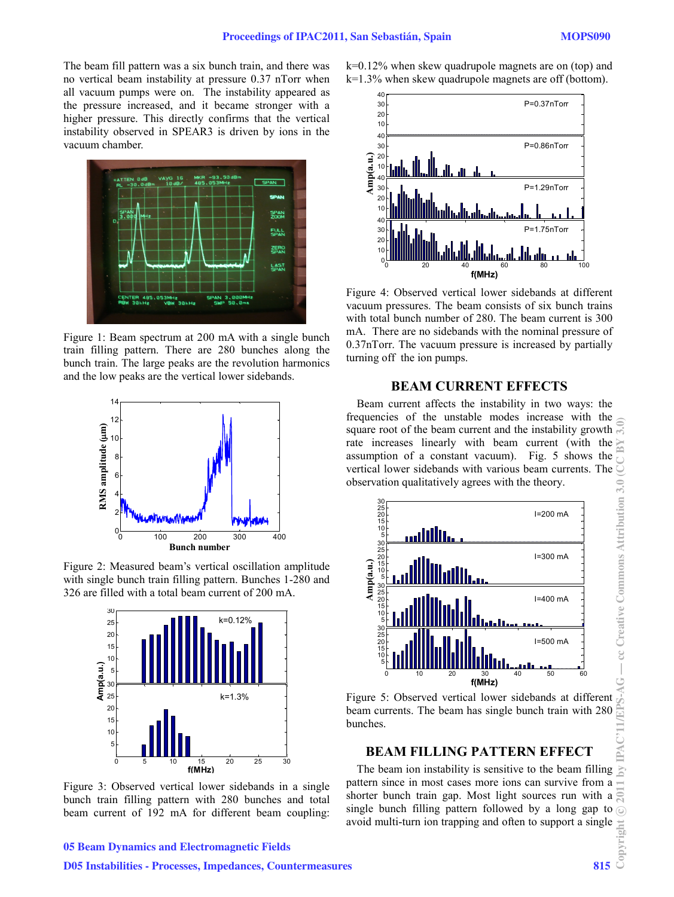The beam fill pattern was a six bunch train, and there was no vertical beam instability at pressure 0.37 nTorr when all vacuum pumps were on. The instability appeared as the pressure increased, and it became stronger with a higher pressure. This directly confirms that the vertical instability observed in SPEAR3 is driven by ions in the vacuum chamber.



Figure 1: Beam spectrum at 200 mA with a single bunch train filling pattern. There are 280 bunches along the bunch train. The large peaks are the revolution harmonics and the low peaks are the vertical lower sidebands.



Figure 2: Measured beam's vertical oscillation amplitude with single bunch train filling pattern. Bunches 1-280 and 326 are filled with a total beam current of 200 mA.



Figure 3: Observed vertical lower sidebands in a single bunch train filling pattern with 280 bunches and total beam current of 192 mA for different beam coupling:

k=0.12% when skew quadrupole magnets are on (top) and k=1.3% when skew quadrupole magnets are off (bottom).



Figure 4: Observed vertical lower sidebands at different vacuum pressures. The beam consists of six bunch trains with total bunch number of 280. The beam current is 300 mA. There are no sidebands with the nominal pressure of 0.37nTorr. The vacuum pressure is increased by partially turning off the ion pumps.

# **BEAM CURRENT EFFECTS**

Beam current affects the instability in two ways: the frequencies of the unstable modes increase with the square root of the beam current and the instability growth rate increases linearly with beam current (with the assumption of a constant vacuum). Fig. 5 shows the vertical lower sidebands with various beam currents. The observation qualitatively agrees with the theory.



Figure 5: Observed vertical lower sidebands at different beam currents. The beam has single bunch train with 280 bunches.

## **BEAM FILLING PATTERN EFFECT**

The beam ion instability is sensitive to the beam filling  $\geq$ pattern since in most cases more ions can survive from a shorter bunch train gap. Most light sources run with a single bunch filling pattern followed by a long gap to  $\odot$ avoid multi-turn ion trapping and often to support a single

 $\begin{array}{c} \hline \end{array}$